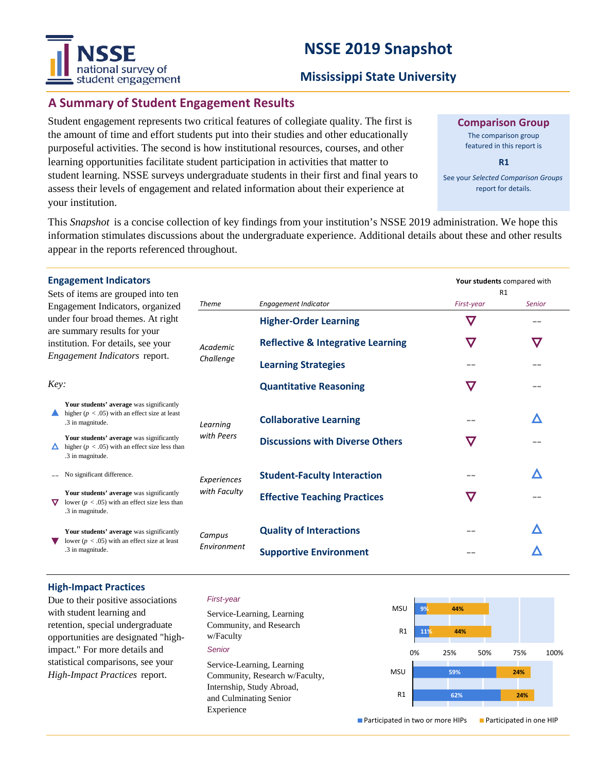# **NSSE 2019 Snapshot**



#### **Mississippi State University**

### **A Summary of Student Engagement Results**

Student engagement represents two critical features of collegiate quality. The first is the amount of time and effort students put into their studies and other educationally purposeful activities. The second is how institutional resources, courses, and other learning opportunities facilitate student participation in activities that matter to student learning. NSSE surveys undergraduate students in their first and final years to assess their levels of engagement and related information about their experience at your institution.

**Comparison Group**

The comparison group featured in this report is

**R1**

See your *Selected Comparison Groups*  report for details.

**Your students** compared with

This *Snapshot* is a concise collection of key findings from your institution's NSSE 2019 administration. We hope this information stimulates discussions about the undergraduate experience. Additional details about these and other results appear in the reports referenced throughout.

| <b>Engagement Indicators</b> |  |
|------------------------------|--|
|------------------------------|--|

| Sets of items are grouped into ten |  |  |  |
|------------------------------------|--|--|--|
| Engagement Indicators, organized   |  |  |  |
| under four broad themes. At right  |  |  |  |
| are summary results for your       |  |  |  |
| institution. For details, see your |  |  |  |
| Engagement Indicators report.      |  |  |  |

| Sets of items are grouped into ten<br>Engagement Indicators, organized<br>under four broad themes. At right<br>are summary results for your<br>institution. For details, see your<br>Engagement Indicators report.<br>Key: |                                                                                                                    |                       |                                              | R1            |               |
|----------------------------------------------------------------------------------------------------------------------------------------------------------------------------------------------------------------------------|--------------------------------------------------------------------------------------------------------------------|-----------------------|----------------------------------------------|---------------|---------------|
|                                                                                                                                                                                                                            |                                                                                                                    | <b>Theme</b>          | <b>Engagement Indicator</b>                  | First-year    | <b>Senior</b> |
|                                                                                                                                                                                                                            |                                                                                                                    | Academic<br>Challenge | <b>Higher-Order Learning</b>                 | $\bm{\nabla}$ |               |
|                                                                                                                                                                                                                            |                                                                                                                    |                       | <b>Reflective &amp; Integrative Learning</b> |               | $\bm{\nabla}$ |
|                                                                                                                                                                                                                            |                                                                                                                    |                       | <b>Learning Strategies</b>                   |               |               |
|                                                                                                                                                                                                                            |                                                                                                                    |                       | <b>Quantitative Reasoning</b>                | $\bm{\nabla}$ |               |
|                                                                                                                                                                                                                            | Your students' average was significantly<br>higher ( $p < .05$ ) with an effect size at least<br>.3 in magnitude.  | Learning              | <b>Collaborative Learning</b>                |               |               |
|                                                                                                                                                                                                                            | Your students' average was significantly<br>higher ( $p < .05$ ) with an effect size less than<br>.3 in magnitude. | with Peers            | <b>Discussions with Diverse Others</b>       |               |               |
|                                                                                                                                                                                                                            | No significant difference.                                                                                         | Experiences           | <b>Student-Faculty Interaction</b>           |               |               |
| ▽                                                                                                                                                                                                                          | Your students' average was significantly<br>lower ( $p < .05$ ) with an effect size less than<br>.3 in magnitude.  | with Faculty          | <b>Effective Teaching Practices</b>          | $\bm{\nabla}$ |               |
|                                                                                                                                                                                                                            | Your students' average was significantly<br>lower ( $p < .05$ ) with an effect size at least<br>.3 in magnitude.   | Campus                | <b>Quality of Interactions</b>               |               |               |
|                                                                                                                                                                                                                            |                                                                                                                    | Environment           | <b>Supportive Environment</b>                |               |               |
|                                                                                                                                                                                                                            |                                                                                                                    |                       |                                              |               |               |

#### **High-Impact Practices**

Due to their positive associations with student learning and retention, special undergraduate opportunities are designated "highimpact." For more details and statistical comparisons, see your *High-Impact Practices* report.

#### *First-year*

*Senior* Service-Learning, Learning Community, and Research w/Faculty Service-Learning, Learning Community, Research w/Faculty, Internship, Study Abroad, and Culminating Senior Experience

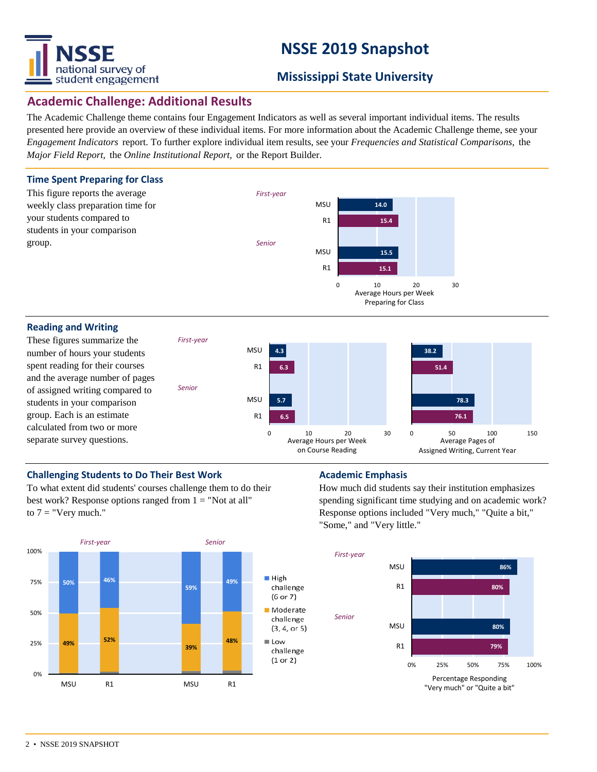

# **NSSE 2019 Snapshot**

### **Mississippi State University**

### **Academic Challenge: Additional Results**

The Academic Challenge theme contains four Engagement Indicators as well as several important individual items. The results presented here provide an overview of these individual items. For more information about the Academic Challenge theme, see your *Engagement Indicators* report. To further explore individual item results, see your *Frequencies and Statistical Comparisons,* the *Major Field Report,* the *Online Institutional Report,* or the Report Builder.



#### **Reading and Writing**

These figures summarize the number of hours your students spent reading for their courses and the average number of pages of assigned writing compared to students in your comparison group. Each is an estimate calculated from two or more separate survey questions.



#### **Challenging Students to Do Their Best Work <b>Academic Emphasis Academic Emphasis**

To what extent did students' courses challenge them to do their best work? Response options ranged from  $1 =$  "Not at all" to  $7 =$  "Very much."

*First-year*

*Senior*



How much did students say their institution emphasizes spending significant time studying and on academic work? Response options included "Very much," "Quite a bit," "Some," and "Very little."

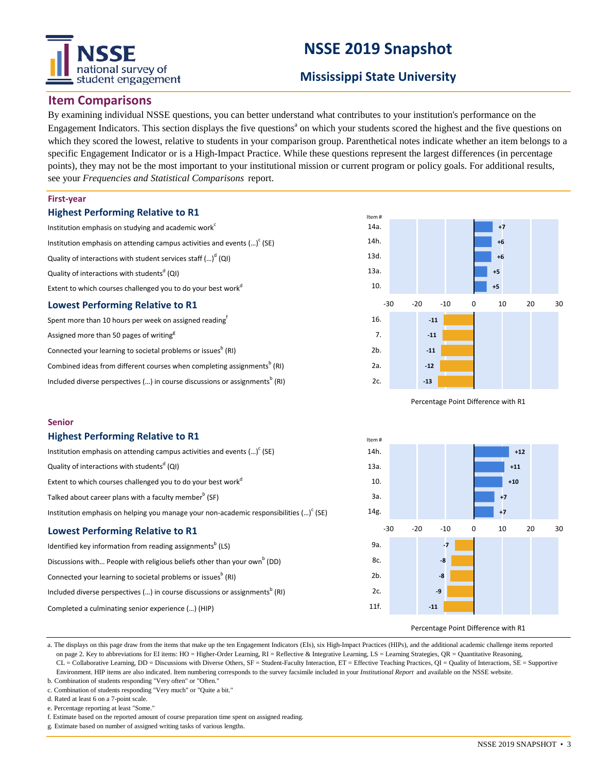# tional survey of student engagement

# **NSSE 2019 Snapshot**

### **Mississippi State University**

#### **Item Comparisons**

By examining individual NSSE questions, you can better understand what contributes to your institution's performance on the Engagement Indicators. This section displays the five questions<sup>a</sup> on which your students scored the highest and the five questions on which they scored the lowest, relative to students in your comparison group. Parenthetical notes indicate whether an item belongs to a specific Engagement Indicator or is a High-Impact Practice. While these questions represent the largest differences (in percentage points), they may not be the most important to your institutional mission or current program or policy goals. For additional results, see your *Frequencies and Statistical Comparisons* report.

#### **First-year**

**Senior**

#### **Highest Performing Relative to R1**

**Highest Performing Relative to R1**

Quality of interactions with students<sup>d</sup> (QI)

| Institution emphasis on studying and academic work <sup>c</sup>            |  |  |  |  |
|----------------------------------------------------------------------------|--|--|--|--|
| Institution emphasis on attending campus activities and events $()^c$ (SE) |  |  |  |  |
| Quality of interactions with student services staff $()^d$ (QI)            |  |  |  |  |
| Quality of interactions with students <sup>d</sup> (QI)                    |  |  |  |  |
| Extent to which courses challenged you to do your best work <sup>d</sup>   |  |  |  |  |
| <b>Lowest Performing Relative to R1</b>                                    |  |  |  |  |
| Spent more than 10 hours per week on assigned reading <sup>f</sup>         |  |  |  |  |
| Assigned more than 50 pages of writing <sup>g</sup>                        |  |  |  |  |
| Connected your learning to societal problems or issues <sup>b</sup> (RI)   |  |  |  |  |

Combined ideas from different courses when completing assignments<sup>b</sup> (RI) Included diverse perspectives (...) in course discussions or assignments<sup>b</sup> (RI)

Institution emphasis on attending campus activities and events  $(\cdot\cdot\cdot)^c$  (SE)

Discussions with... People with religious beliefs other than your own<sup>b</sup> (DD)

Included diverse perspectives (...) in course discussions or assignments $^{\rm b}$  (RI)

Institution emphasis on helping you manage your non-academic responsibilities  $\left( ...\right) ^{\mathsf{c}}$  (SE)

Extent to which courses challenged you to do your best workd

Talked about career plans with a faculty member<sup>b</sup> (SF)

Identified key information from reading assignments<sup>b</sup> (LS)

Connected your learning to societal problems or issues<sup>b</sup> (RI)

Completed a culminating senior experience (…) (HIP)

**Lowest Performing Relative to R1**



Percentage Point Difference with R1



#### Percentage Point Difference with R1

a. The displays on this page draw from the items that make up the ten Engagement Indicators (EIs), six High-Impact Practices (HIPs), and the additional academic challenge items reported on page 2. Key to abbreviations for EI items: HO = Higher-Order Learning,  $RI =$  Reflective & Integrative Learning,  $LS =$  Learning Strategies,  $QR =$  Quantitative Reasoning, CL = Collaborative Learning, DD = Discussions with Diverse Others, SF = Student-Faculty Interaction, ET = Effective Teaching Practices, QI = Quality of Interactions, SE = Supportive Environment. HIP items are also indicated. Item numbering corresponds to the survey facsimile included in your *Institutional Report* and available on the NSSE website.

b. Combination of students responding "Very often" or "Often." c. Combination of students responding "Very much" or "Quite a bit."

d. Rated at least 6 on a 7-point scale.

e. Percentage reporting at least "Some."

f. Estimate based on the reported amount of course preparation time spent on assigned reading.

g. Estimate based on number of assigned writing tasks of various lengths.